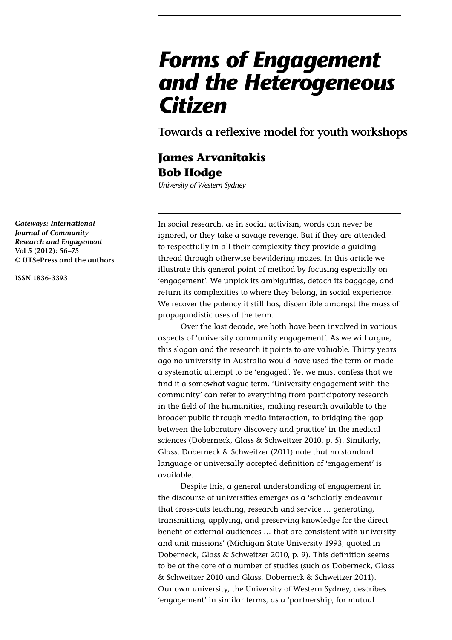# *Forms of Engagement and the Heterogeneous Citizen*

**Towards a reflexive model for youth workshops**

# **James Arvanitakis Bob Hodge**

*University of Western Sydney*

In social research, as in social activism, words can never be ignored, or they take a savage revenge. But if they are attended to respectfully in all their complexity they provide a guiding thread through otherwise bewildering mazes. In this article we illustrate this general point of method by focusing especially on 'engagement'. We unpick its ambiguities, detach its baggage, and return its complexities to where they belong, in social experience. We recover the potency it still has, discernible amongst the mass of propagandistic uses of the term.

Over the last decade, we both have been involved in various aspects of 'university community engagement'. As we will argue, this slogan and the research it points to are valuable. Thirty years ago no university in Australia would have used the term or made a systematic attempt to be 'engaged'. Yet we must confess that we find it a somewhat vague term. 'University engagement with the community' can refer to everything from participatory research in the field of the humanities, making research available to the broader public through media interaction, to bridging the 'gap between the laboratory discovery and practice' in the medical sciences (Doberneck, Glass & Schweitzer 2010, p. 5). Similarly, Glass, Doberneck & Schweitzer (2011) note that no standard language or universally accepted definition of 'engagement' is available.

Despite this, a general understanding of engagement in the discourse of universities emerges as a 'scholarly endeavour that cross-cuts teaching, research and service … generating, transmitting, applying, and preserving knowledge for the direct benefit of external audiences … that are consistent with university and unit missions' (Michigan State University 1993, quoted in Doberneck, Glass & Schweitzer 2010, p. 9). This definition seems to be at the core of a number of studies (such as Doberneck, Glass & Schweitzer 2010 and Glass, Doberneck & Schweitzer 2011). Our own university, the University of Western Sydney, describes 'engagement' in similar terms, as a 'partnership, for mutual

*Gateways: International Journal of Community Research and Engagement* **Vol 5 (2012): 56–75 © UTSePress and the authors**

**ISSN 1836-3393**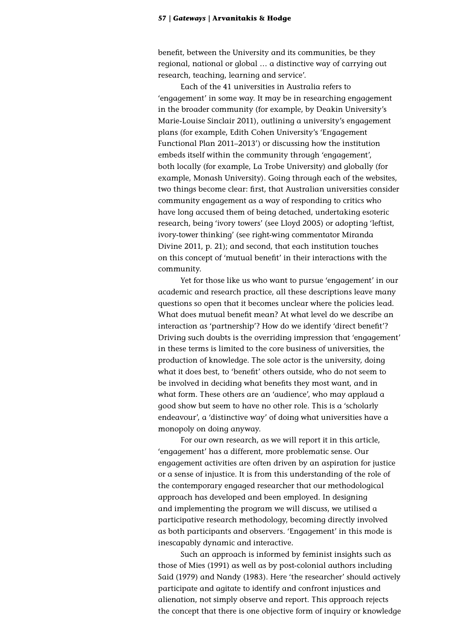benefit, between the University and its communities, be they regional, national or global … a distinctive way of carrying out research, teaching, learning and service'.

Each of the 41 universities in Australia refers to 'engagement' in some way. It may be in researching engagement in the broader community (for example, by Deakin University's Marie-Louise Sinclair 2011), outlining a university's engagement plans (for example, Edith Cohen University's 'Engagement Functional Plan 2011–2013') or discussing how the institution embeds itself within the community through 'engagement', both locally (for example, La Trobe University) and globally (for example, Monash University). Going through each of the websites, two things become clear: first, that Australian universities consider community engagement as a way of responding to critics who have long accused them of being detached, undertaking esoteric research, being 'ivory towers' (see Lloyd 2005) or adopting 'leftist, ivory-tower thinking' (see right-wing commentator Miranda Divine 2011, p. 21); and second, that each institution touches on this concept of 'mutual benefit' in their interactions with the community.

Yet for those like us who want to pursue 'engagement' in our academic and research practice, all these descriptions leave many questions so open that it becomes unclear where the policies lead. What does mutual benefit mean? At what level do we describe an interaction as 'partnership'? How do we identify 'direct benefit'? Driving such doubts is the overriding impression that 'engagement' in these terms is limited to the core business of universities, the production of knowledge. The sole actor is the university, doing what it does best, to 'benefit' others outside, who do not seem to be involved in deciding what benefits they most want, and in what form. These others are an 'audience', who may applaud a good show but seem to have no other role. This is a 'scholarly endeavour', a 'distinctive way' of doing what universities have a monopoly on doing anyway.

For our own research, as we will report it in this article, 'engagement' has a different, more problematic sense. Our engagement activities are often driven by an aspiration for justice or a sense of injustice. It is from this understanding of the role of the contemporary engaged researcher that our methodological approach has developed and been employed. In designing and implementing the program we will discuss, we utilised a participative research methodology, becoming directly involved as both participants and observers. 'Engagement' in this mode is inescapably dynamic and interactive.

Such an approach is informed by feminist insights such as those of Mies (1991) as well as by post-colonial authors including Said (1979) and Nandy (1983). Here 'the researcher' should actively participate and agitate to identify and confront injustices and alienation, not simply observe and report. This approach rejects the concept that there is one objective form of inquiry or knowledge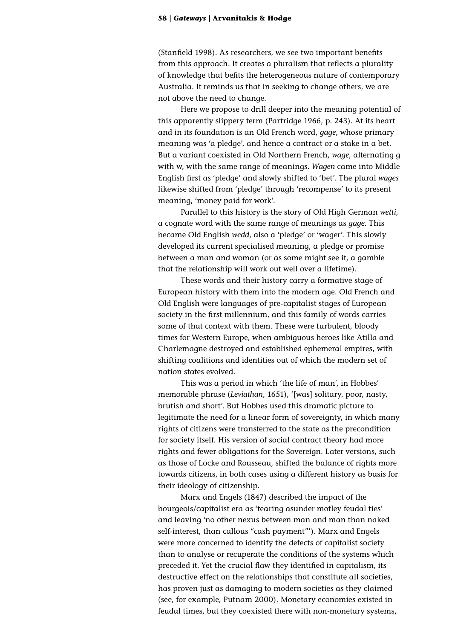(Stanfield 1998). As researchers, we see two important benefits from this approach. It creates a pluralism that reflects a plurality of knowledge that befits the heterogeneous nature of contemporary Australia. It reminds us that in seeking to change others, we are not above the need to change.

Here we propose to drill deeper into the meaning potential of this apparently slippery term (Partridge 1966, p. 243). At its heart and in its foundation is an Old French word, *gage*, whose primary meaning was 'a pledge', and hence a contract or a stake in a bet. But a variant coexisted in Old Northern French, *wage*, alternating g with w, with the same range of meanings. *Wagen* came into Middle English first as 'pledge' and slowly shifted to 'bet'. The plural *wages* likewise shifted from 'pledge' through 'recompense' to its present meaning, 'money paid for work'.

Parallel to this history is the story of Old High German *wetti*, a cognate word with the same range of meanings as *gage*. This became Old English *wedd*, also a 'pledge' or 'wager'. This slowly developed its current specialised meaning, a pledge or promise between a man and woman (or as some might see it, a gamble that the relationship will work out well over a lifetime).

These words and their history carry a formative stage of European history with them into the modern age. Old French and Old English were languages of pre-capitalist stages of European society in the first millennium, and this family of words carries some of that context with them. These were turbulent, bloody times for Western Europe, when ambiguous heroes like Atilla and Charlemagne destroyed and established ephemeral empires, with shifting coalitions and identities out of which the modern set of nation states evolved.

This was a period in which 'the life of man', in Hobbes' memorable phrase (*Leviathan*, 1651), '[was] solitary, poor, nasty, brutish and short'. But Hobbes used this dramatic picture to legitimate the need for a linear form of sovereignty, in which many rights of citizens were transferred to the state as the precondition for society itself. His version of social contract theory had more rights and fewer obligations for the Sovereign. Later versions, such as those of Locke and Rousseau, shifted the balance of rights more towards citizens, in both cases using a different history as basis for their ideology of citizenship.

Marx and Engels (1847) described the impact of the bourgeois/capitalist era as 'tearing asunder motley feudal ties' and leaving 'no other nexus between man and man than naked self-interest, than callous "cash payment"'). Marx and Engels were more concerned to identify the defects of capitalist society than to analyse or recuperate the conditions of the systems which preceded it. Yet the crucial flaw they identified in capitalism, its destructive effect on the relationships that constitute all societies, has proven just as damaging to modern societies as they claimed (see, for example, Putnam 2000). Monetary economies existed in feudal times, but they coexisted there with non-monetary systems,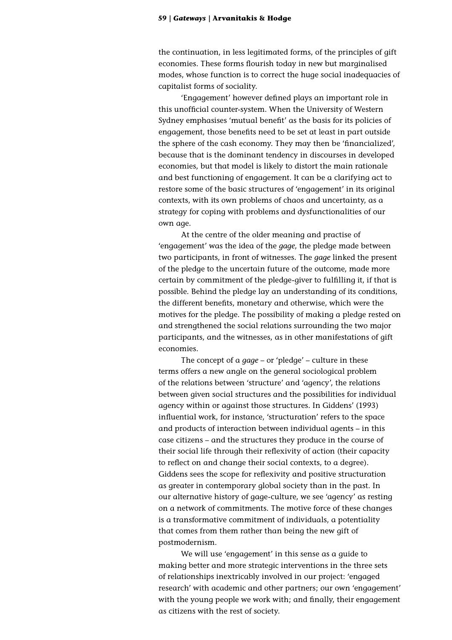the continuation, in less legitimated forms, of the principles of gift economies. These forms flourish today in new but marginalised modes, whose function is to correct the huge social inadequacies of capitalist forms of sociality.

'Engagement' however defined plays an important role in this unofficial counter-system. When the University of Western Sydney emphasises 'mutual benefit' as the basis for its policies of engagement, those benefits need to be set at least in part outside the sphere of the cash economy. They may then be 'financialized', because that is the dominant tendency in discourses in developed economies, but that model is likely to distort the main rationale and best functioning of engagement. It can be a clarifying act to restore some of the basic structures of 'engagement' in its original contexts, with its own problems of chaos and uncertainty, as a strategy for coping with problems and dysfunctionalities of our own age.

At the centre of the older meaning and practise of 'engagement' was the idea of the *gage*, the pledge made between two participants, in front of witnesses. The *gage* linked the present of the pledge to the uncertain future of the outcome, made more certain by commitment of the pledge-giver to fulfilling it, if that is possible. Behind the pledge lay an understanding of its conditions, the different benefits, monetary and otherwise, which were the motives for the pledge. The possibility of making a pledge rested on and strengthened the social relations surrounding the two major participants, and the witnesses, as in other manifestations of gift economies.

The concept of a *gage* – or 'pledge' – culture in these terms offers a new angle on the general sociological problem of the relations between 'structure' and 'agency', the relations between given social structures and the possibilities for individual agency within or against those structures. In Giddens' (1993) influential work, for instance, 'structuration' refers to the space and products of interaction between individual agents – in this case citizens – and the structures they produce in the course of their social life through their reflexivity of action (their capacity to reflect on and change their social contexts, to a degree). Giddens sees the scope for reflexivity and positive structuration as greater in contemporary global society than in the past. In our alternative history of gage-culture, we see 'agency' as resting on a network of commitments. The motive force of these changes is a transformative commitment of individuals, a potentiality that comes from them rather than being the new gift of postmodernism.

We will use 'engagement' in this sense as a guide to making better and more strategic interventions in the three sets of relationships inextricably involved in our project: 'engaged research' with academic and other partners; our own 'engagement' with the young people we work with; and finally, their engagement as citizens with the rest of society.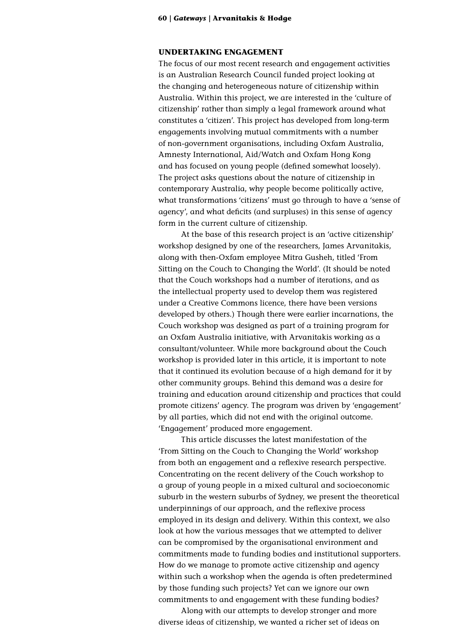# **UNDERTAKING ENGAGEMENT**

The focus of our most recent research and engagement activities is an Australian Research Council funded project looking at the changing and heterogeneous nature of citizenship within Australia. Within this project, we are interested in the 'culture of citizenship' rather than simply a legal framework around what constitutes a 'citizen'. This project has developed from long-term engagements involving mutual commitments with a number of non-government organisations, including Oxfam Australia, Amnesty International, Aid/Watch and Oxfam Hong Kong and has focused on young people (defined somewhat loosely). The project asks questions about the nature of citizenship in contemporary Australia, why people become politically active, what transformations 'citizens' must go through to have a 'sense of agency', and what deficits (and surpluses) in this sense of agency form in the current culture of citizenship.

At the base of this research project is an 'active citizenship' workshop designed by one of the researchers, James Arvanitakis, along with then-Oxfam employee Mitra Gusheh, titled 'From Sitting on the Couch to Changing the World'. (It should be noted that the Couch workshops had a number of iterations, and as the intellectual property used to develop them was registered under a Creative Commons licence, there have been versions developed by others.) Though there were earlier incarnations, the Couch workshop was designed as part of a training program for an Oxfam Australia initiative, with Arvanitakis working as a consultant/volunteer. While more background about the Couch workshop is provided later in this article, it is important to note that it continued its evolution because of a high demand for it by other community groups. Behind this demand was a desire for training and education around citizenship and practices that could promote citizens' agency. The program was driven by 'engagement' by all parties, which did not end with the original outcome. 'Engagement' produced more engagement.

This article discusses the latest manifestation of the 'From Sitting on the Couch to Changing the World' workshop from both an engagement and a reflexive research perspective. Concentrating on the recent delivery of the Couch workshop to a group of young people in a mixed cultural and socioeconomic suburb in the western suburbs of Sydney, we present the theoretical underpinnings of our approach, and the reflexive process employed in its design and delivery. Within this context, we also look at how the various messages that we attempted to deliver can be compromised by the organisational environment and commitments made to funding bodies and institutional supporters. How do we manage to promote active citizenship and agency within such a workshop when the agenda is often predetermined by those funding such projects? Yet can we ignore our own commitments to and engagement with these funding bodies?

Along with our attempts to develop stronger and more diverse ideas of citizenship, we wanted a richer set of ideas on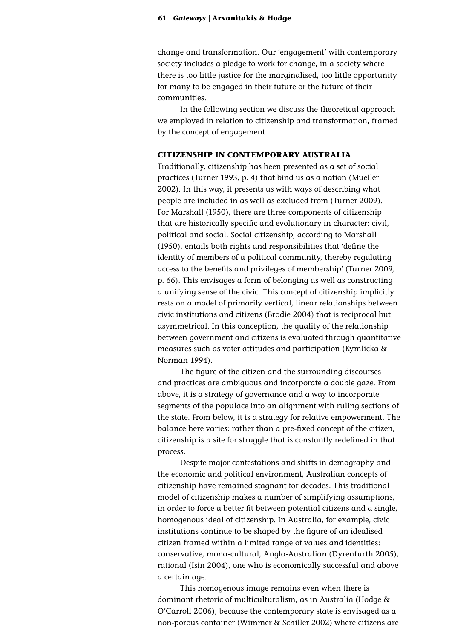change and transformation. Our 'engagement' with contemporary society includes a pledge to work for change, in a society where there is too little justice for the marginalised, too little opportunity for many to be engaged in their future or the future of their communities.

In the following section we discuss the theoretical approach we employed in relation to citizenship and transformation, framed by the concept of engagement.

# **CITIZENSHIP IN CONTEMPORARY AUSTRALIA**

Traditionally, citizenship has been presented as a set of social practices (Turner 1993, p. 4) that bind us as a nation (Mueller 2002). In this way, it presents us with ways of describing what people are included in as well as excluded from (Turner 2009). For Marshall (1950), there are three components of citizenship that are historically specific and evolutionary in character: civil, political and social. Social citizenship, according to Marshall (1950), entails both rights and responsibilities that 'define the identity of members of a political community, thereby regulating access to the benefits and privileges of membership' (Turner 2009, p. 66). This envisages a form of belonging as well as constructing a unifying sense of the civic. This concept of citizenship implicitly rests on a model of primarily vertical, linear relationships between civic institutions and citizens (Brodie 2004) that is reciprocal but asymmetrical. In this conception, the quality of the relationship between government and citizens is evaluated through quantitative measures such as voter attitudes and participation (Kymlicka & Norman 1994).

The figure of the citizen and the surrounding discourses and practices are ambiguous and incorporate a double gaze. From above, it is a strategy of governance and a way to incorporate segments of the populace into an alignment with ruling sections of the state. From below, it is a strategy for relative empowerment. The balance here varies: rather than a pre-fixed concept of the citizen, citizenship is a site for struggle that is constantly redefined in that process.

Despite major contestations and shifts in demography and the economic and political environment, Australian concepts of citizenship have remained stagnant for decades. This traditional model of citizenship makes a number of simplifying assumptions, in order to force a better fit between potential citizens and a single, homogenous ideal of citizenship. In Australia, for example, civic institutions continue to be shaped by the figure of an idealised citizen framed within a limited range of values and identities: conservative, mono-cultural, Anglo-Australian (Dyrenfurth 2005), rational (Isin 2004), one who is economically successful and above a certain age.

This homogenous image remains even when there is dominant rhetoric of multiculturalism, as in Australia (Hodge & O'Carroll 2006), because the contemporary state is envisaged as a non-porous container (Wimmer & Schiller 2002) where citizens are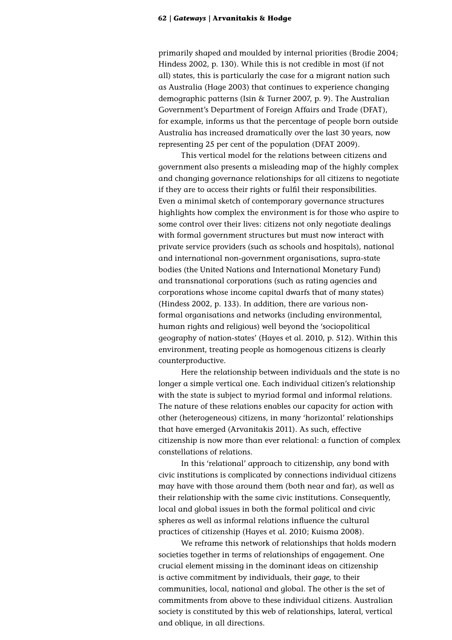primarily shaped and moulded by internal priorities (Brodie 2004; Hindess 2002, p. 130). While this is not credible in most (if not all) states, this is particularly the case for a migrant nation such as Australia (Hage 2003) that continues to experience changing demographic patterns (Isin & Turner 2007, p. 9). The Australian Government's Department of Foreign Affairs and Trade (DFAT), for example, informs us that the percentage of people born outside Australia has increased dramatically over the last 30 years, now representing 25 per cent of the population (DFAT 2009).

This vertical model for the relations between citizens and government also presents a misleading map of the highly complex and changing governance relationships for all citizens to negotiate if they are to access their rights or fulfil their responsibilities. Even a minimal sketch of contemporary governance structures highlights how complex the environment is for those who aspire to some control over their lives: citizens not only negotiate dealings with formal government structures but must now interact with private service providers (such as schools and hospitals), national and international non-government organisations, supra-state bodies (the United Nations and International Monetary Fund) and transnational corporations (such as rating agencies and corporations whose income capital dwarfs that of many states) (Hindess 2002, p. 133). In addition, there are various nonformal organisations and networks (including environmental, human rights and religious) well beyond the 'sociopolitical geography of nation-states' (Hayes et al. 2010, p. 512). Within this environment, treating people as homogenous citizens is clearly counterproductive.

Here the relationship between individuals and the state is no longer a simple vertical one. Each individual citizen's relationship with the state is subject to myriad formal and informal relations. The nature of these relations enables our capacity for action with other (heterogeneous) citizens, in many 'horizontal' relationships that have emerged (Arvanitakis 2011). As such, effective citizenship is now more than ever relational: a function of complex constellations of relations.

In this 'relational' approach to citizenship, any bond with civic institutions is complicated by connections individual citizens may have with those around them (both near and far), as well as their relationship with the same civic institutions. Consequently, local and global issues in both the formal political and civic spheres as well as informal relations influence the cultural practices of citizenship (Hayes et al. 2010; Kuisma 2008).

We reframe this network of relationships that holds modern societies together in terms of relationships of engagement. One crucial element missing in the dominant ideas on citizenship is active commitment by individuals, their *gage*, to their communities, local, national and global. The other is the set of commitments from above to these individual citizens. Australian society is constituted by this web of relationships, lateral, vertical and oblique, in all directions.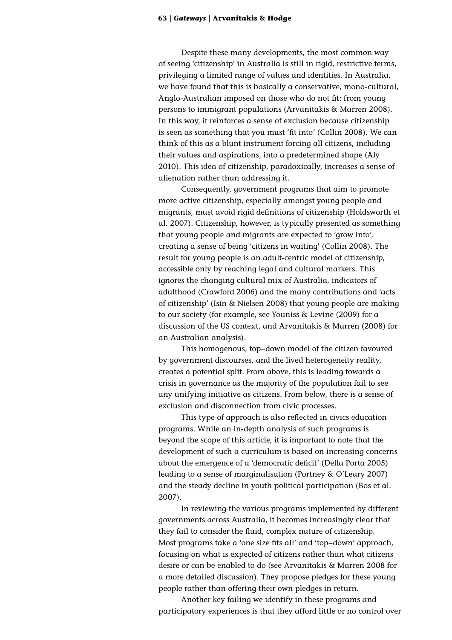Despite these many developments, the most common way of seeing 'citizenship' in Australia is still in rigid, restrictive terms, privileging a limited range of values and identities. In Australia, we have found that this is basically a conservative, mono-cultural, Anglo-Australian imposed on those who do not fit: from young persons to immigrant populations (Arvanitakis & Marren 2008). In this way, it reinforces a sense of exclusion because citizenship is seen as something that you must 'fit into' (Collin 2008). We can think of this as a blunt instrument forcing all citizens, including their values and aspirations, into a predetermined shape (Aly 2010). This idea of citizenship, paradoxically, increases a sense of alienation rather than addressing it.

Consequently, government programs that aim to promote more active citizenship, especially amongst young people and migrants, must avoid rigid definitions of citizenship (Holdsworth et al. 2007). Citizenship, however, is typically presented as something that young people and migrants are expected to 'grow into', creating a sense of being 'citizens in waiting' (Collin 2008). The result for young people is an adult-centric model of citizenship, accessible only by reaching legal and cultural markers. This ignores the changing cultural mix of Australia, indicators of adulthood (Crawford 2006) and the many contributions and 'acts of citizenship' (Isin & Nielsen 2008) that young people are making to our society (for example, see Youniss & Levine (2009) for a discussion of the US context, and Arvanitakis & Marren (2008) for an Australian analysis).

This homogenous, top–down model of the citizen favoured by government discourses, and the lived heterogeneity reality, creates a potential split. From above, this is leading towards a crisis in governance as the majority of the population fail to see any unifying initiative as citizens. From below, there is a sense of exclusion and disconnection from civic processes.

This type of approach is also reflected in civics education programs. While an in-depth analysis of such programs is beyond the scope of this article, it is important to note that the development of such a curriculum is based on increasing concerns about the emergence of a 'democratic deficit' (Della Porta 2005) leading to a sense of marginalisation (Portney & O'Leary 2007) and the steady decline in youth political participation (Bos et al. 2007).

In reviewing the various programs implemented by different governments across Australia, it becomes increasingly clear that they fail to consider the fluid, complex nature of citizenship. Most programs take a 'one size fits all' and 'top–down' approach, focusing on what is expected of citizens rather than what citizens desire or can be enabled to do (see Arvanitakis & Marren 2008 for a more detailed discussion). They propose pledges for these young people rather than offering their own pledges in return.

Another key failing we identify in these programs and participatory experiences is that they afford little or no control over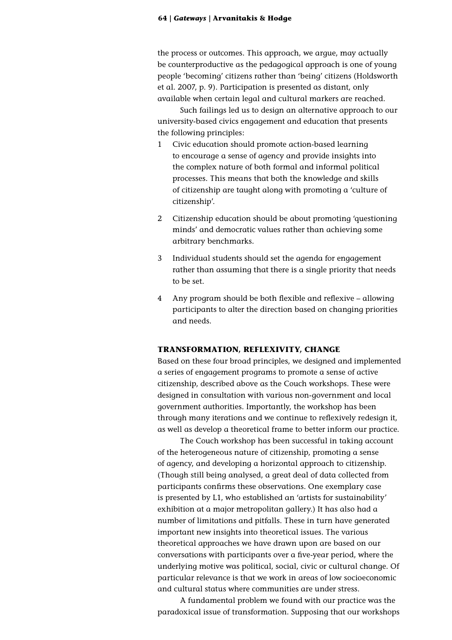the process or outcomes. This approach, we argue, may actually be counterproductive as the pedagogical approach is one of young people 'becoming' citizens rather than 'being' citizens (Holdsworth et al. 2007, p. 9). Participation is presented as distant, only available when certain legal and cultural markers are reached.

Such failings led us to design an alternative approach to our university-based civics engagement and education that presents the following principles:

- 1 Civic education should promote action-based learning to encourage a sense of agency and provide insights into the complex nature of both formal and informal political processes. This means that both the knowledge and skills of citizenship are taught along with promoting a 'culture of citizenship'.
- 2 Citizenship education should be about promoting 'questioning minds' and democratic values rather than achieving some arbitrary benchmarks.
- 3 Individual students should set the agenda for engagement rather than assuming that there is a single priority that needs to be set.
- 4 Any program should be both flexible and reflexive allowing participants to alter the direction based on changing priorities and needs.

# **TRANSFORMATION, REFLEXIVITY, CHANGE**

Based on these four broad principles, we designed and implemented a series of engagement programs to promote a sense of active citizenship, described above as the Couch workshops. These were designed in consultation with various non-government and local government authorities. Importantly, the workshop has been through many iterations and we continue to reflexively redesign it, as well as develop a theoretical frame to better inform our practice.

The Couch workshop has been successful in taking account of the heterogeneous nature of citizenship, promoting a sense of agency, and developing a horizontal approach to citizenship. (Though still being analysed, a great deal of data collected from participants confirms these observations. One exemplary case is presented by L1, who established an 'artists for sustainability' exhibition at a major metropolitan gallery.) It has also had a number of limitations and pitfalls. These in turn have generated important new insights into theoretical issues. The various theoretical approaches we have drawn upon are based on our conversations with participants over a five-year period, where the underlying motive was political, social, civic or cultural change. Of particular relevance is that we work in areas of low socioeconomic and cultural status where communities are under stress.

A fundamental problem we found with our practice was the paradoxical issue of transformation. Supposing that our workshops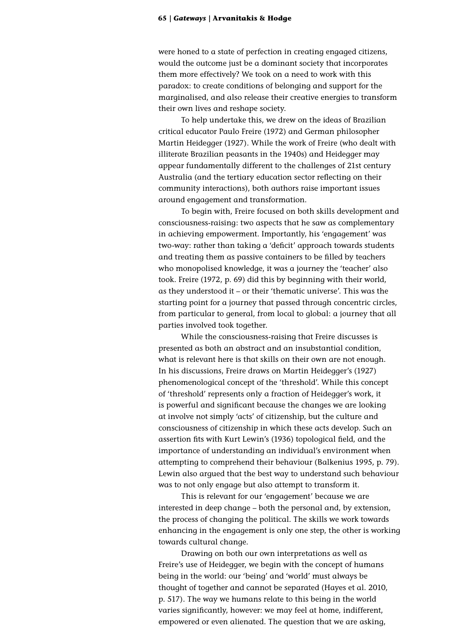were honed to a state of perfection in creating engaged citizens, would the outcome just be a dominant society that incorporates them more effectively? We took on a need to work with this paradox: to create conditions of belonging and support for the marginalised, and also release their creative energies to transform their own lives and reshape society.

To help undertake this, we drew on the ideas of Brazilian critical educator Paulo Freire (1972) and German philosopher Martin Heidegger (1927). While the work of Freire (who dealt with illiterate Brazilian peasants in the 1940s) and Heidegger may appear fundamentally different to the challenges of 21st century Australia (and the tertiary education sector reflecting on their community interactions), both authors raise important issues around engagement and transformation.

To begin with, Freire focused on both skills development and consciousness-raising: two aspects that he saw as complementary in achieving empowerment. Importantly, his 'engagement' was two-way: rather than taking a 'deficit' approach towards students and treating them as passive containers to be filled by teachers who monopolised knowledge, it was a journey the 'teacher' also took. Freire (1972, p. 69) did this by beginning with their world, as they understood it – or their 'thematic universe'. This was the starting point for a journey that passed through concentric circles, from particular to general, from local to global: a journey that all parties involved took together.

While the consciousness-raising that Freire discusses is presented as both an abstract and an insubstantial condition, what is relevant here is that skills on their own are not enough. In his discussions, Freire draws on Martin Heidegger's (1927) phenomenological concept of the 'threshold'. While this concept of 'threshold' represents only a fraction of Heidegger's work, it is powerful and significant because the changes we are looking at involve not simply 'acts' of citizenship, but the culture and consciousness of citizenship in which these acts develop. Such an assertion fits with Kurt Lewin's (1936) topological field, and the importance of understanding an individual's environment when attempting to comprehend their behaviour (Balkenius 1995, p. 79). Lewin also argued that the best way to understand such behaviour was to not only engage but also attempt to transform it.

This is relevant for our 'engagement' because we are interested in deep change – both the personal and, by extension, the process of changing the political. The skills we work towards enhancing in the engagement is only one step, the other is working towards cultural change.

Drawing on both our own interpretations as well as Freire's use of Heidegger, we begin with the concept of humans being in the world: our 'being' and 'world' must always be thought of together and cannot be separated (Hayes et al. 2010, p. 517). The way we humans relate to this being in the world varies significantly, however: we may feel at home, indifferent, empowered or even alienated. The question that we are asking,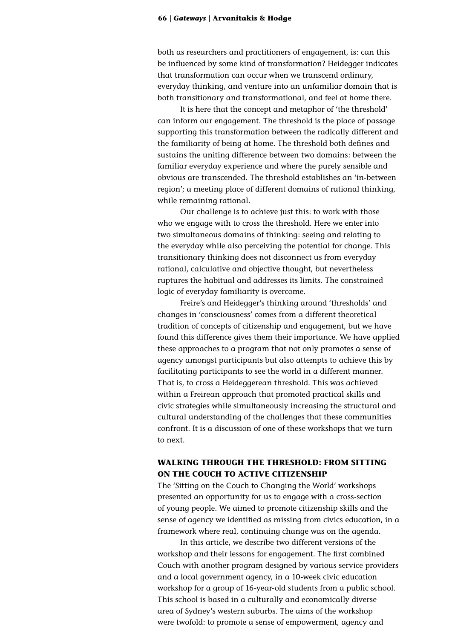both as researchers and practitioners of engagement, is: can this be influenced by some kind of transformation? Heidegger indicates that transformation can occur when we transcend ordinary, everyday thinking, and venture into an unfamiliar domain that is both transitionary and transformational, and feel at home there.

It is here that the concept and metaphor of 'the threshold' can inform our engagement. The threshold is the place of passage supporting this transformation between the radically different and the familiarity of being at home. The threshold both defines and sustains the uniting difference between two domains: between the familiar everyday experience and where the purely sensible and obvious are transcended. The threshold establishes an 'in-between region'; a meeting place of different domains of rational thinking, while remaining rational.

Our challenge is to achieve just this: to work with those who we engage with to cross the threshold. Here we enter into two simultaneous domains of thinking: seeing and relating to the everyday while also perceiving the potential for change. This transitionary thinking does not disconnect us from everyday rational, calculative and objective thought, but nevertheless ruptures the habitual and addresses its limits. The constrained logic of everyday familiarity is overcome.

Freire's and Heidegger's thinking around 'thresholds' and changes in 'consciousness' comes from a different theoretical tradition of concepts of citizenship and engagement, but we have found this difference gives them their importance. We have applied these approaches to a program that not only promotes a sense of agency amongst participants but also attempts to achieve this by facilitating participants to see the world in a different manner. That is, to cross a Heideggerean threshold. This was achieved within a Freirean approach that promoted practical skills and civic strategies while simultaneously increasing the structural and cultural understanding of the challenges that these communities confront. It is a discussion of one of these workshops that we turn to next.

# **WALKING THROUGH THE THRESHOLD: FROM sitting on the COUCH TO ACTIVE CITIZENSHIP**

The 'Sitting on the Couch to Changing the World' workshops presented an opportunity for us to engage with a cross-section of young people. We aimed to promote citizenship skills and the sense of agency we identified as missing from civics education, in a framework where real, continuing change was on the agenda.

In this article, we describe two different versions of the workshop and their lessons for engagement. The first combined Couch with another program designed by various service providers and a local government agency, in a 10-week civic education workshop for a group of 16-year-old students from a public school. This school is based in a culturally and economically diverse area of Sydney's western suburbs. The aims of the workshop were twofold: to promote a sense of empowerment, agency and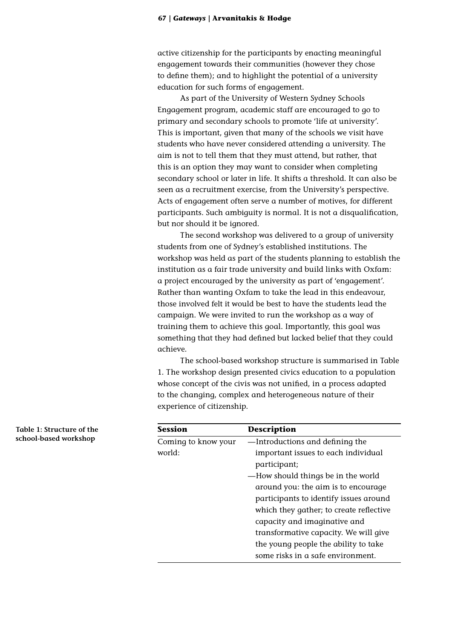active citizenship for the participants by enacting meaningful engagement towards their communities (however they chose to define them); and to highlight the potential of a university education for such forms of engagement.

As part of the University of Western Sydney Schools Engagement program, academic staff are encouraged to go to primary and secondary schools to promote 'life at university'. This is important, given that many of the schools we visit have students who have never considered attending a university. The aim is not to tell them that they must attend, but rather, that this is an option they may want to consider when completing secondary school or later in life. It shifts a threshold. It can also be seen as a recruitment exercise, from the University's perspective. Acts of engagement often serve a number of motives, for different participants. Such ambiguity is normal. It is not a disqualification, but nor should it be ignored.

The second workshop was delivered to a group of university students from one of Sydney's established institutions. The workshop was held as part of the students planning to establish the institution as a fair trade university and build links with Oxfam: a project encouraged by the university as part of 'engagement'. Rather than wanting Oxfam to take the lead in this endeavour, those involved felt it would be best to have the students lead the campaign. We were invited to run the workshop as a way of training them to achieve this goal. Importantly, this goal was something that they had defined but lacked belief that they could achieve.

The school-based workshop structure is summarised in Table 1. The workshop design presented civics education to a population whose concept of the civis was not unified, in a process adapted to the changing, complex and heterogeneous nature of their experience of citizenship.

| <b>Session</b>      | <b>Description</b>                      |
|---------------------|-----------------------------------------|
| Coming to know your | —Introductions and defining the         |
| world:              | important issues to each individual     |
|                     | participant;                            |
|                     | -How should things be in the world      |
|                     | around you: the aim is to encourage     |
|                     | participants to identify issues around  |
|                     | which they gather; to create reflective |
|                     | capacity and imaginative and            |
|                     | transformative capacity. We will give   |
|                     | the young people the ability to take    |
|                     | some risks in a safe environment.       |

**Table 1: Structure of the school-based workshop**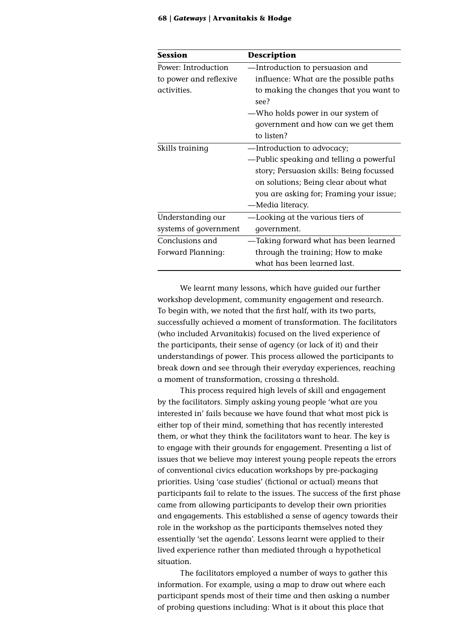| <b>Session</b>         | <b>Description</b>                       |
|------------------------|------------------------------------------|
| Power: Introduction    | -Introduction to persuasion and          |
| to power and reflexive | influence: What are the possible paths   |
| activities.            | to making the changes that you want to   |
|                        | see?                                     |
|                        | —Who holds power in our system of        |
|                        | government and how can we get them       |
|                        | to listen?                               |
| Skills training        | -Introduction to advocacy;               |
|                        | -Public speaking and telling a powerful  |
|                        | story; Persuasion skills: Being focussed |
|                        | on solutions; Being clear about what     |
|                        | you are asking for; Framing your issue;  |
|                        | —Media literacy.                         |
| Understanding our      | -Looking at the various tiers of         |
| systems of government  | government.                              |
| Conclusions and        | -Taking forward what has been learned    |
| Forward Planning:      | through the training; How to make        |
|                        | what has been learned last.              |

We learnt many lessons, which have guided our further workshop development, community engagement and research. To begin with, we noted that the first half, with its two parts, successfully achieved a moment of transformation. The facilitators (who included Arvanitakis) focused on the lived experience of the participants, their sense of agency (or lack of it) and their understandings of power. This process allowed the participants to break down and see through their everyday experiences, reaching a moment of transformation, crossing a threshold.

This process required high levels of skill and engagement by the facilitators. Simply asking young people 'what are you interested in' fails because we have found that what most pick is either top of their mind, something that has recently interested them, or what they think the facilitators want to hear. The key is to engage with their grounds for engagement. Presenting a list of issues that we believe may interest young people repeats the errors of conventional civics education workshops by pre-packaging priorities. Using 'case studies' (fictional or actual) means that participants fail to relate to the issues. The success of the first phase came from allowing participants to develop their own priorities and engagements. This established a sense of agency towards their role in the workshop as the participants themselves noted they essentially 'set the agenda'. Lessons learnt were applied to their lived experience rather than mediated through a hypothetical situation.

The facilitators employed a number of ways to gather this information. For example, using a map to draw out where each participant spends most of their time and then asking a number of probing questions including: What is it about this place that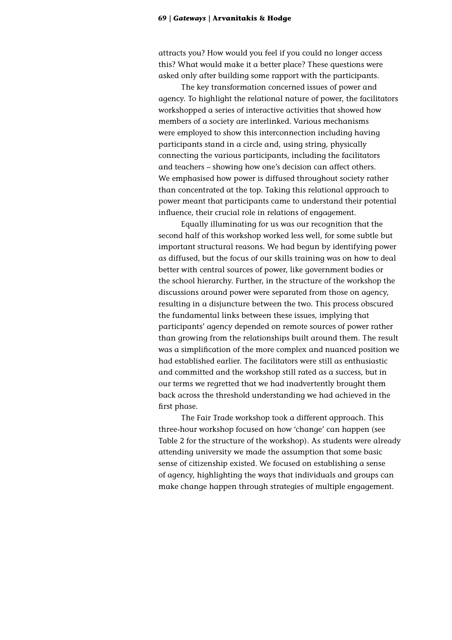attracts you? How would you feel if you could no longer access this? What would make it a better place? These questions were asked only after building some rapport with the participants.

The key transformation concerned issues of power and agency. To highlight the relational nature of power, the facilitators workshopped a series of interactive activities that showed how members of a society are interlinked. Various mechanisms were employed to show this interconnection including having participants stand in a circle and, using string, physically connecting the various participants, including the facilitators and teachers – showing how one's decision can affect others. We emphasised how power is diffused throughout society rather than concentrated at the top. Taking this relational approach to power meant that participants came to understand their potential influence, their crucial role in relations of engagement.

Equally illuminating for us was our recognition that the second half of this workshop worked less well, for some subtle but important structural reasons. We had begun by identifying power as diffused, but the focus of our skills training was on how to deal better with central sources of power, like government bodies or the school hierarchy. Further, in the structure of the workshop the discussions around power were separated from those on agency, resulting in a disjuncture between the two. This process obscured the fundamental links between these issues, implying that participants' agency depended on remote sources of power rather than growing from the relationships built around them. The result was a simplification of the more complex and nuanced position we had established earlier. The facilitators were still as enthusiastic and committed and the workshop still rated as a success, but in our terms we regretted that we had inadvertently brought them back across the threshold understanding we had achieved in the first phase.

The Fair Trade workshop took a different approach. This three-hour workshop focused on how 'change' can happen (see Table 2 for the structure of the workshop). As students were already attending university we made the assumption that some basic sense of citizenship existed. We focused on establishing a sense of agency, highlighting the ways that individuals and groups can make change happen through strategies of multiple engagement.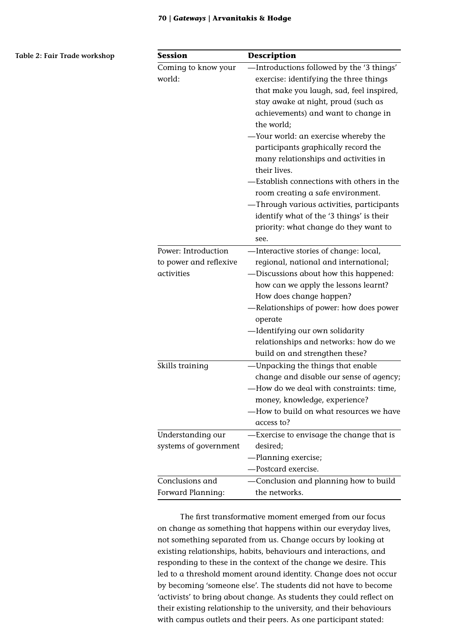#### **Table 2: Fair Trade workshop**

| <b>Session</b>                                              | <b>Description</b>                                                                                                                                                                                                                                                                                                                                              |
|-------------------------------------------------------------|-----------------------------------------------------------------------------------------------------------------------------------------------------------------------------------------------------------------------------------------------------------------------------------------------------------------------------------------------------------------|
| Coming to know your<br>world:                               | -Introductions followed by the '3 things'<br>exercise: identifying the three things<br>that make you laugh, sad, feel inspired,<br>stay awake at night, proud (such as<br>achievements) and want to change in<br>the world;                                                                                                                                     |
|                                                             | -Your world: an exercise whereby the<br>participants graphically record the<br>many relationships and activities in<br>their lives.<br>-Establish connections with others in the<br>room creating a safe environment.<br>-Through various activities, participants<br>identify what of the '3 things' is their<br>priority: what change do they want to<br>see. |
| Power: Introduction<br>to power and reflexive<br>activities | -Interactive stories of change: local,<br>regional, national and international;<br>-Discussions about how this happened:<br>how can we apply the lessons learnt?<br>How does change happen?<br>-Relationships of power: how does power<br>operate<br>-Identifying our own solidarity<br>relationships and networks: how do we<br>build on and strengthen these? |
| Skills training                                             | -Unpacking the things that enable<br>change and disable our sense of agency;<br>-How do we deal with constraints: time,<br>money, knowledge, experience?<br>-How to build on what resources we have<br>access to?                                                                                                                                               |
| Understanding our<br>systems of government                  | —Exercise to envisage the change that is<br>desired;<br>-Planning exercise;<br>-Postcard exercise.                                                                                                                                                                                                                                                              |
| Conclusions and<br>Forward Planning:                        | Conclusion and planning how to build<br>the networks.                                                                                                                                                                                                                                                                                                           |

The first transformative moment emerged from our focus on change as something that happens within our everyday lives, not something separated from us. Change occurs by looking at existing relationships, habits, behaviours and interactions, and responding to these in the context of the change we desire. This led to a threshold moment around identity. Change does not occur by becoming 'someone else'. The students did not have to become 'activists' to bring about change. As students they could reflect on their existing relationship to the university, and their behaviours with campus outlets and their peers. As one participant stated: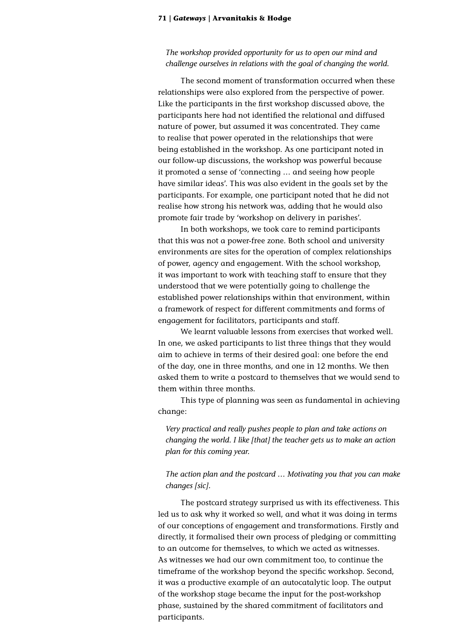# *The workshop provided opportunity for us to open our mind and challenge ourselves in relations with the goal of changing the world.*

The second moment of transformation occurred when these relationships were also explored from the perspective of power. Like the participants in the first workshop discussed above, the participants here had not identified the relational and diffused nature of power, but assumed it was concentrated. They came to realise that power operated in the relationships that were being established in the workshop. As one participant noted in our follow-up discussions, the workshop was powerful because it promoted a sense of 'connecting … and seeing how people have similar ideas'. This was also evident in the goals set by the participants. For example, one participant noted that he did not realise how strong his network was, adding that he would also promote fair trade by 'workshop on delivery in parishes'.

In both workshops, we took care to remind participants that this was not a power-free zone. Both school and university environments are sites for the operation of complex relationships of power, agency and engagement. With the school workshop, it was important to work with teaching staff to ensure that they understood that we were potentially going to challenge the established power relationships within that environment, within a framework of respect for different commitments and forms of engagement for facilitators, participants and staff.

We learnt valuable lessons from exercises that worked well. In one, we asked participants to list three things that they would aim to achieve in terms of their desired goal: one before the end of the day, one in three months, and one in 12 months. We then asked them to write a postcard to themselves that we would send to them within three months.

This type of planning was seen as fundamental in achieving change:

*Very practical and really pushes people to plan and take actions on changing the world. I like [that] the teacher gets us to make an action plan for this coming year.*

# *The action plan and the postcard … Motivating you that you can make changes [sic].*

The postcard strategy surprised us with its effectiveness. This led us to ask why it worked so well, and what it was doing in terms of our conceptions of engagement and transformations. Firstly and directly, it formalised their own process of pledging or committing to an outcome for themselves, to which we acted as witnesses. As witnesses we had our own commitment too, to continue the timeframe of the workshop beyond the specific workshop. Second, it was a productive example of an autocatalytic loop. The output of the workshop stage became the input for the post-workshop phase, sustained by the shared commitment of facilitators and participants.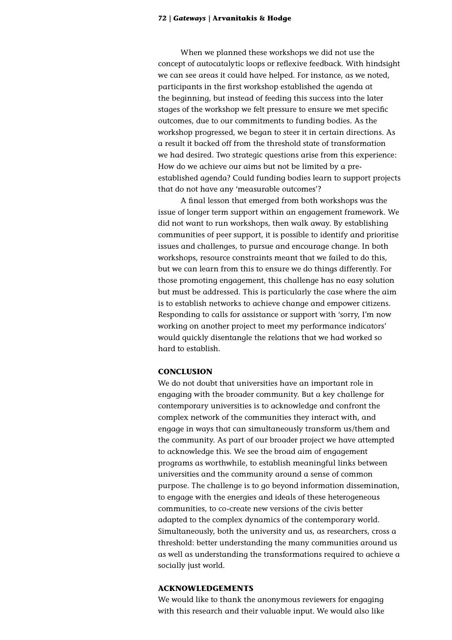When we planned these workshops we did not use the concept of autocatalytic loops or reflexive feedback. With hindsight we can see areas it could have helped. For instance, as we noted, participants in the first workshop established the agenda at the beginning, but instead of feeding this success into the later stages of the workshop we felt pressure to ensure we met specific outcomes, due to our commitments to funding bodies. As the workshop progressed, we began to steer it in certain directions. As a result it backed off from the threshold state of transformation we had desired. Two strategic questions arise from this experience: How do we achieve our aims but not be limited by a preestablished agenda? Could funding bodies learn to support projects that do not have any 'measurable outcomes'?

A final lesson that emerged from both workshops was the issue of longer term support within an engagement framework. We did not want to run workshops, then walk away. By establishing communities of peer support, it is possible to identify and prioritise issues and challenges, to pursue and encourage change. In both workshops, resource constraints meant that we failed to do this, but we can learn from this to ensure we do things differently. For those promoting engagement, this challenge has no easy solution but must be addressed. This is particularly the case where the aim is to establish networks to achieve change and empower citizens. Responding to calls for assistance or support with 'sorry, I'm now working on another project to meet my performance indicators' would quickly disentangle the relations that we had worked so hard to establish.

# **CONCLUSION**

We do not doubt that universities have an important role in engaging with the broader community. But a key challenge for contemporary universities is to acknowledge and confront the complex network of the communities they interact with, and engage in ways that can simultaneously transform us/them and the community. As part of our broader project we have attempted to acknowledge this. We see the broad aim of engagement programs as worthwhile, to establish meaningful links between universities and the community around a sense of common purpose. The challenge is to go beyond information dissemination, to engage with the energies and ideals of these heterogeneous communities, to co-create new versions of the civis better adapted to the complex dynamics of the contemporary world. Simultaneously, both the university and us, as researchers, cross a threshold: better understanding the many communities around us as well as understanding the transformations required to achieve a socially just world.

# **ACKNOWLEDGEMENTS**

We would like to thank the anonymous reviewers for engaging with this research and their valuable input. We would also like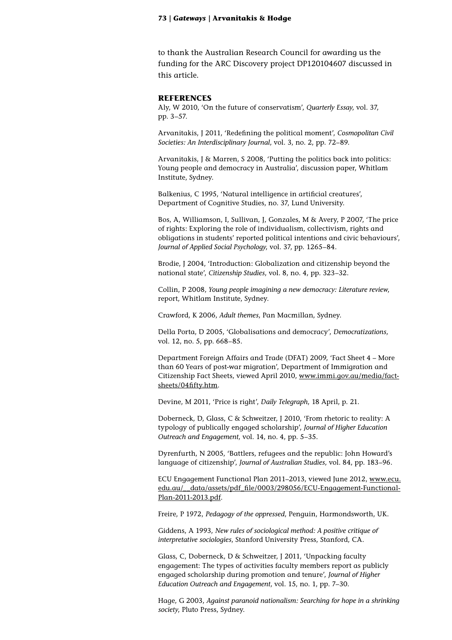to thank the Australian Research Council for awarding us the funding for the ARC Discovery project DP120104607 discussed in this article.

#### **REFERENCES**

Aly, W 2010, 'On the future of conservatism', *Quarterly Essay*, vol. 37, pp. 3–57.

Arvanitakis, J 2011, 'Redefining the political moment', *Cosmopolitan Civil Societies: An Interdisciplinary Journal*, vol. 3, no. 2, pp. 72–89.

Arvanitakis, J & Marren, S 2008, 'Putting the politics back into politics: Young people and democracy in Australia', discussion paper, Whitlam Institute, Sydney.

Balkenius, C 1995, 'Natural intelligence in artificial creatures', Department of Cognitive Studies, no. 37, Lund University.

Bos, A, Williamson, I, Sullivan, J, Gonzales, M & Avery, P 2007, 'The price of rights: Exploring the role of individualism, collectivism, rights and obligations in students' reported political intentions and civic behaviours', *Journal of Applied Social Psychology*, vol. 37, pp. 1265–84.

Brodie, J 2004, 'Introduction: Globalization and citizenship beyond the national state', *Citizenship Studies*, vol. 8, no. 4, pp. 323–32.

Collin, P 2008, *Young people imagining a new democracy: Literature review*, report, Whitlam Institute, Sydney.

Crawford, K 2006, *Adult themes*, Pan Macmillan, Sydney.

Della Porta, D 2005, 'Globalisations and democracy', *Democratizations*, vol. 12, no. 5, pp. 668–85.

Department Foreign Affairs and Trade (DFAT) 2009, 'Fact Sheet 4 – More than 60 Years of post-war migration', Department of Immigration and Citizenship Fact Sheets, viewed April 2010, [www.immi.gov.au/media/fact](www.immi.gov.au/media/fact-sheets/04fifty.htm)[sheets/04fifty.htm.](www.immi.gov.au/media/fact-sheets/04fifty.htm)

Devine, M 2011, 'Price is right', *Daily Telegraph*, 18 April, p. 21.

Doberneck, D, Glass, C & Schweitzer, J 2010, 'From rhetoric to reality: A typology of publically engaged scholarship', *Journal of Higher Education Outreach and Engagement*, vol. 14, no. 4, pp. 5–35.

Dyrenfurth, N 2005, 'Battlers, refugees and the republic: John Howard's language of citizenship', *Journal of Australian Studies*, vol. 84, pp. 183–96.

ECU Engagement Functional Plan 2011–2013, viewed June 2012, [www.ecu.](www.ecu.edu.au/__data/assets/pdf_file/0003/298056/ECU-Engagement-Functional-Plan-2011-2013.pdf) edu.au/ data/assets/pdf\_file/0003/298056/ECU-Engagement-Functional-[Plan-2011-2013.pdf.](www.ecu.edu.au/__data/assets/pdf_file/0003/298056/ECU-Engagement-Functional-Plan-2011-2013.pdf)

Freire, P 1972, *Pedagogy of the oppressed*, Penguin, Harmondsworth, UK.

Giddens, A 1993, *New rules of sociological method: A positive critique of interpretative sociologies*, Stanford University Press, Stanford, CA.

Glass, C, Doberneck, D & Schweitzer, J 2011, 'Unpacking faculty engagement: The types of activities faculty members report as publicly engaged scholarship during promotion and tenure', *Journal of Higher Education Outreach and Engagement*, vol. 15, no. 1, pp. 7–30.

Hage, G 2003, *Against paranoid nationalism: Searching for hope in a shrinking society*, Pluto Press, Sydney.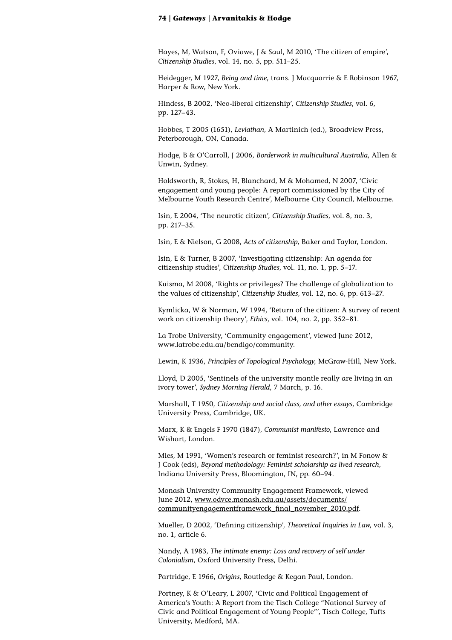Hayes, M, Watson, F, Oviawe, J & Saul, M 2010, 'The citizen of empire', *Citizenship Studies*, vol. 14, no. 5, pp. 511–25.

Heidegger, M 1927, *Being and time*, trans. J Macquarrie & E Robinson 1967, Harper & Row, New York.

Hindess, B 2002, 'Neo-liberal citizenship', *Citizenship Studies*, vol. 6, pp. 127–43.

Hobbes, T 2005 (1651), *Leviathan*, A Martinich (ed.), Broadview Press, Peterborough, ON, Canada.

Hodge, B & O'Carroll, J 2006, *Borderwork in multicultural Australia*, Allen & Unwin, Sydney.

Holdsworth, R, Stokes, H, Blanchard, M & Mohamed, N 2007, 'Civic engagement and young people: A report commissioned by the City of Melbourne Youth Research Centre', Melbourne City Council, Melbourne.

Isin, E 2004, 'The neurotic citizen', *Citizenship Studies*, vol. 8, no. 3, pp. 217–35.

Isin, E & Nielson, G 2008, *Acts of citizenship*, Baker and Taylor, London.

Isin, E & Turner, B 2007, 'Investigating citizenship: An agenda for citizenship studies', *Citizenship Studies*, vol. 11, no. 1, pp. 5–17.

Kuisma, M 2008, 'Rights or privileges? The challenge of globalization to the values of citizenship', *Citizenship Studies*, vol. 12, no. 6, pp. 613–27.

Kymlicka, W & Norman, W 1994, 'Return of the citizen: A survey of recent work on citizenship theory', *Ethics*, vol. 104, no. 2, pp. 352–81.

La Trobe University, 'Community engagement', viewed June 2012, <www.latrobe.edu.au/bendigo/community>.

Lewin, K 1936, *Principles of Topological Psychology*, McGraw-Hill, New York.

Lloyd, D 2005, 'Sentinels of the university mantle really are living in an ivory tower', *Sydney Morning Herald*, 7 March, p. 16.

Marshall, T 1950, *Citizenship and social class, and other essays*, Cambridge University Press, Cambridge, UK.

Marx, K & Engels F 1970 (1847), *Communist manifesto*, Lawrence and Wishart, London.

Mies, M 1991, 'Women's research or feminist research?', in M Fonow & J Cook (eds), *Beyond methodology: Feminist scholarship as lived research*, Indiana University Press, Bloomington, IN, pp. 60–94.

Monash University Community Engagement Framework, viewed June 2012, [www.odvce.monash.edu.au/assets/documents/](www.odvce.monash.edu.au/assets/documents/communityengagementframework_final_november_2010.pdf) [communityengagementframework\\_final\\_november\\_2010.pdf.](www.odvce.monash.edu.au/assets/documents/communityengagementframework_final_november_2010.pdf)

Mueller, D 2002, 'Defining citizenship', *Theoretical Inquiries in Law*, vol. 3, no. 1, article 6.

Nandy, A 1983, *The intimate enemy: Loss and recovery of self under Colonialism*, Oxford University Press, Delhi.

Partridge, E 1966, *Origins*, Routledge & Kegan Paul, London.

Portney, K & O'Leary, L 2007, 'Civic and Political Engagement of America's Youth: A Report from the Tisch College "National Survey of Civic and Political Engagement of Young People"', Tisch College, Tufts University, Medford, MA.